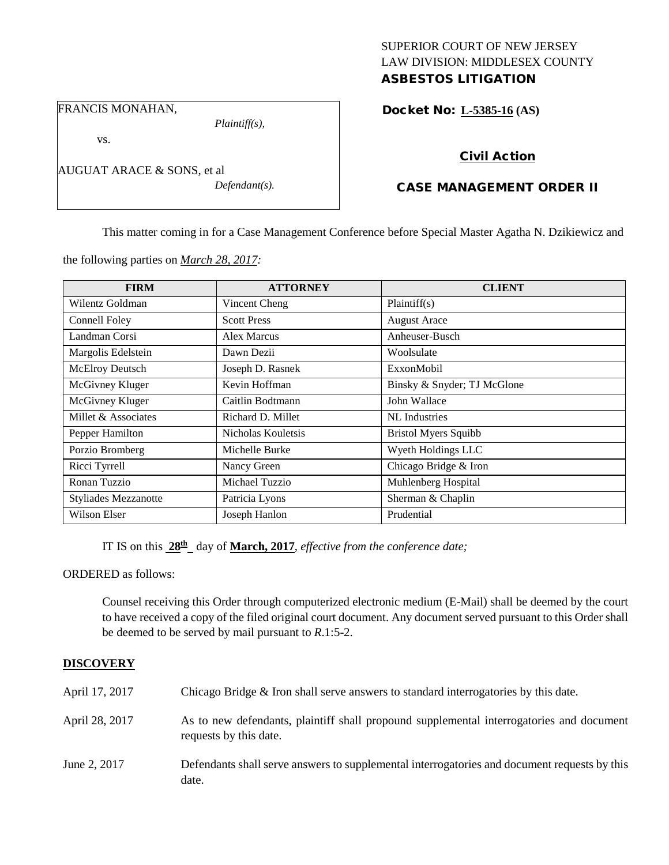## SUPERIOR COURT OF NEW JERSEY LAW DIVISION: MIDDLESEX COUNTY ASBESTOS LITIGATION

FRANCIS MONAHAN,

*Plaintiff(s),*

vs.

| AUGUAT ARACE & SONS, et al |                  |
|----------------------------|------------------|
|                            | $Defendant(s)$ . |

Docket No: **L-5385-16 (AS)** 

# Civil Action

# CASE MANAGEMENT ORDER II

This matter coming in for a Case Management Conference before Special Master Agatha N. Dzikiewicz and

the following parties on *March 28, 2017:*

| <b>FIRM</b>                 | <b>ATTORNEY</b>    | <b>CLIENT</b>               |
|-----------------------------|--------------------|-----------------------------|
| Wilentz Goldman             | Vincent Cheng      | Plaintiff(s)                |
| Connell Foley               | <b>Scott Press</b> | <b>August Arace</b>         |
| Landman Corsi               | Alex Marcus        | Anheuser-Busch              |
| Margolis Edelstein          | Dawn Dezii         | Woolsulate                  |
| McElroy Deutsch             | Joseph D. Rasnek   | ExxonMobil                  |
| McGivney Kluger             | Kevin Hoffman      | Binsky & Snyder; TJ McGlone |
| McGivney Kluger             | Caitlin Bodtmann   | John Wallace                |
| Millet & Associates         | Richard D. Millet  | NL Industries               |
| Pepper Hamilton             | Nicholas Kouletsis | <b>Bristol Myers Squibb</b> |
| Porzio Bromberg             | Michelle Burke     | Wyeth Holdings LLC          |
| Ricci Tyrrell               | Nancy Green        | Chicago Bridge & Iron       |
| Ronan Tuzzio                | Michael Tuzzio     | Muhlenberg Hospital         |
| <b>Styliades Mezzanotte</b> | Patricia Lyons     | Sherman & Chaplin           |
| Wilson Elser                | Joseph Hanlon      | Prudential                  |

IT IS on this  $28^{\text{th}}$  day of **March, 2017**, *effective from the conference date;* 

ORDERED as follows:

Counsel receiving this Order through computerized electronic medium (E-Mail) shall be deemed by the court to have received a copy of the filed original court document. Any document served pursuant to this Order shall be deemed to be served by mail pursuant to *R*.1:5-2.

## **DISCOVERY**

| April 17, 2017 | Chicago Bridge & Iron shall serve answers to standard interrogatories by this date.                                |
|----------------|--------------------------------------------------------------------------------------------------------------------|
| April 28, 2017 | As to new defendants, plaintiff shall propound supplemental interrogatories and document<br>requests by this date. |
| June 2, 2017   | Defendants shall serve answers to supplemental interrogatories and document requests by this<br>date.              |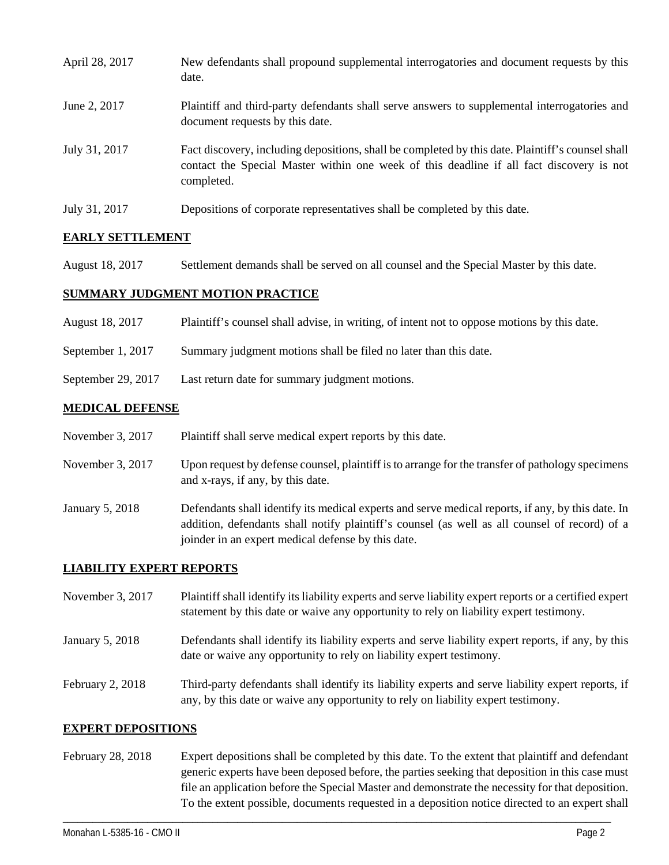| April 28, 2017 | New defendants shall propound supplemental interrogatories and document requests by this<br>date.                                                                                                           |
|----------------|-------------------------------------------------------------------------------------------------------------------------------------------------------------------------------------------------------------|
| June 2, 2017   | Plaintiff and third-party defendants shall serve answers to supplemental interrogatories and<br>document requests by this date.                                                                             |
| July 31, 2017  | Fact discovery, including depositions, shall be completed by this date. Plaintiff's counsel shall<br>contact the Special Master within one week of this deadline if all fact discovery is not<br>completed. |
| July 31, 2017  | Depositions of corporate representatives shall be completed by this date.                                                                                                                                   |

# **EARLY SETTLEMENT**

August 18, 2017 Settlement demands shall be served on all counsel and the Special Master by this date.

#### **SUMMARY JUDGMENT MOTION PRACTICE**

| August 18, 2017 | Plaintiff's counsel shall advise, in writing, of intent not to oppose motions by this date. |  |  |
|-----------------|---------------------------------------------------------------------------------------------|--|--|
|                 |                                                                                             |  |  |

- September 1, 2017 Summary judgment motions shall be filed no later than this date.
- September 29, 2017 Last return date for summary judgment motions.

#### **MEDICAL DEFENSE**

- November 3, 2017 Plaintiff shall serve medical expert reports by this date.
- November 3, 2017 Upon request by defense counsel, plaintiff is to arrange for the transfer of pathology specimens and x-rays, if any, by this date.
- January 5, 2018 Defendants shall identify its medical experts and serve medical reports, if any, by this date. In addition, defendants shall notify plaintiff's counsel (as well as all counsel of record) of a joinder in an expert medical defense by this date.

## **LIABILITY EXPERT REPORTS**

| November 3, 2017 | Plaintiff shall identify its liability experts and serve liability expert reports or a certified expert<br>statement by this date or waive any opportunity to rely on liability expert testimony. |
|------------------|---------------------------------------------------------------------------------------------------------------------------------------------------------------------------------------------------|
| January 5, 2018  | Defendants shall identify its liability experts and serve liability expert reports, if any, by this<br>date or waive any opportunity to rely on liability expert testimony.                       |
| February 2, 2018 | Third-party defendants shall identify its liability experts and serve liability expert reports, if<br>any, by this date or waive any opportunity to rely on liability expert testimony.           |

#### **EXPERT DEPOSITIONS**

February 28, 2018 Expert depositions shall be completed by this date. To the extent that plaintiff and defendant generic experts have been deposed before, the parties seeking that deposition in this case must file an application before the Special Master and demonstrate the necessity for that deposition. To the extent possible, documents requested in a deposition notice directed to an expert shall

\_\_\_\_\_\_\_\_\_\_\_\_\_\_\_\_\_\_\_\_\_\_\_\_\_\_\_\_\_\_\_\_\_\_\_\_\_\_\_\_\_\_\_\_\_\_\_\_\_\_\_\_\_\_\_\_\_\_\_\_\_\_\_\_\_\_\_\_\_\_\_\_\_\_\_\_\_\_\_\_\_\_\_\_\_\_\_\_\_\_\_\_\_\_\_\_\_\_\_\_\_\_\_\_\_\_\_\_\_\_